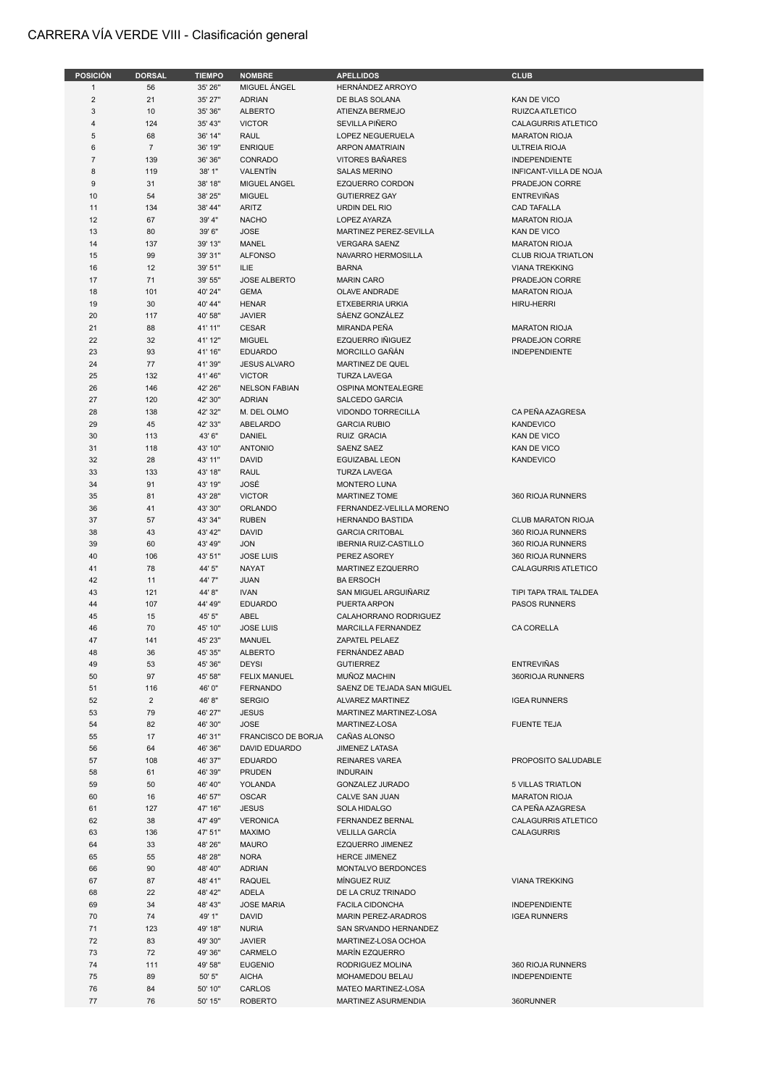## CARRERA VÍA VERDE VIII - Clasificación general

| <b>POSICIÓN</b> | <b>DORSAL</b>  | <b>TIEMPO</b> | <b>NOMBRE</b>        | <b>APELLIDOS</b>             | <b>CLUB</b>                |
|-----------------|----------------|---------------|----------------------|------------------------------|----------------------------|
| $\mathbf{1}$    | 56             | 35' 26"       | MIGUEL ÁNGEL         | HERNÁNDEZ ARROYO             |                            |
| $\overline{2}$  | 21             | 35' 27"       | <b>ADRIAN</b>        | DE BLAS SOLANA               | KAN DE VICO                |
| $\mathbf{3}$    | 10             | 35' 36"       | <b>ALBERTO</b>       | ATIENZA BERMEJO              | RUIZCA ATLETICO            |
| $\overline{4}$  | 124            | 35' 43"       | <b>VICTOR</b>        | SEVILLA PIÑERO               | CALAGURRIS ATLETICO        |
| 5               | 68             | 36' 14"       | <b>RAUL</b>          | LOPEZ NEGUERUELA             | <b>MARATON RIOJA</b>       |
|                 |                |               |                      |                              |                            |
| 6               | $\overline{7}$ | 36' 19"       | <b>ENRIQUE</b>       | <b>ARPON AMATRIAIN</b>       | <b>ULTREIA RIOJA</b>       |
| $\overline{7}$  | 139            | 36' 36"       | CONRADO              | <b>VITORES BAÑARES</b>       | <b>INDEPENDIENTE</b>       |
| 8               | 119            | 38' 1"        | VALENTIN             | <b>SALAS MERINO</b>          | INFICANT-VILLA DE NOJA     |
| 9               | 31             | 38' 18"       | MIGUEL ANGEL         | EZQUERRO CORDON              | PRADEJON CORRE             |
| 10              | 54             | 38' 25"       | <b>MIGUEL</b>        | <b>GUTIERREZ GAY</b>         | <b>ENTREVIÑAS</b>          |
| 11              | 134            | 38' 44"       | <b>ARITZ</b>         | URDIN DEL RIO                | <b>CAD TAFALLA</b>         |
| 12              | 67             | 39' 4"        | <b>NACHO</b>         | <b>LOPEZ AYARZA</b>          | <b>MARATON RIOJA</b>       |
| 13              | 80             | 39' 6"        | <b>JOSE</b>          | MARTINEZ PEREZ-SEVILLA       | <b>KAN DE VICO</b>         |
| 14              | 137            | 39' 13"       | MANEL                | <b>VERGARA SAENZ</b>         | <b>MARATON RIOJA</b>       |
| 15              | 99             | 39' 31"       | <b>ALFONSO</b>       | NAVARRO HERMOSILLA           | <b>CLUB RIOJA TRIATLON</b> |
| 16              | 12             | 39' 51"       | ILIE                 | <b>BARNA</b>                 | <b>VIANA TREKKING</b>      |
| 17              | 71             | 39' 55"       | <b>JOSE ALBERTO</b>  | <b>MARIN CARO</b>            | PRADEJON CORRE             |
| 18              | 101            | 40' 24"       | <b>GEMA</b>          | OLAVE ANDRADE                | <b>MARATON RIOJA</b>       |
|                 |                |               |                      |                              |                            |
| 19              | 30             | 40' 44"       | <b>HENAR</b>         | ETXEBERRIA URKIA             | <b>HIRU-HERRI</b>          |
| 20              | 117            | 40' 58"       | <b>JAVIER</b>        | SÁENZ GONZÁLEZ               |                            |
| 21              | 88             | 41' 11"       | <b>CESAR</b>         | MIRANDA PEÑA                 | <b>MARATON RIOJA</b>       |
| 22              | 32             | 41' 12"       | <b>MIGUEL</b>        | EZQUERRO IÑIGUEZ             | PRADEJON CORRE             |
| 23              | 93             | 41' 16"       | <b>EDUARDO</b>       | MORCILLO GAÑÁN               | <b>INDEPENDIENTE</b>       |
| 24              | 77             | 41' 39"       | <b>JESUS ALVARO</b>  | MARTINEZ DE QUEL             |                            |
| 25              | 132            | 41' 46"       | <b>VICTOR</b>        | <b>TURZA LAVEGA</b>          |                            |
| 26              | 146            | 42' 26"       | <b>NELSON FABIAN</b> | OSPINA MONTEALEGRE           |                            |
| 27              | 120            | 42' 30"       | <b>ADRIAN</b>        | SALCEDO GARCIA               |                            |
| 28              | 138            | 42' 32"       | M. DEL OLMO          | VIDONDO TORRECILLA           | CA PEÑA AZAGRESA           |
| 29              | 45             | 42' 33"       | ABELARDO             | <b>GARCIA RUBIO</b>          | <b>KANDEVICO</b>           |
|                 |                |               |                      | RUIZ GRACIA                  |                            |
| 30              | 113            | 43' 6"        | DANIEL               |                              | KAN DE VICO                |
| 31              | 118            | 43' 10"       | <b>ANTONIO</b>       | SAENZ SAEZ                   | KAN DE VICO                |
| 32              | 28             | 43' 11"       | <b>DAVID</b>         | EGUIZABAL LEON               | <b>KANDEVICO</b>           |
| 33              | 133            | 43' 18"       | <b>RAUL</b>          | <b>TURZA LAVEGA</b>          |                            |
| 34              | 91             | 43' 19"       | JOSÉ                 | <b>MONTERO LUNA</b>          |                            |
| 35              | 81             | 43' 28"       | <b>VICTOR</b>        | <b>MARTINEZ TOME</b>         | 360 RIOJA RUNNERS          |
| 36              | 41             | 43' 30"       | ORLANDO              | FERNANDEZ-VELILLA MORENO     |                            |
| 37              | 57             | 43' 34"       | <b>RUBEN</b>         | <b>HERNANDO BASTIDA</b>      | <b>CLUB MARATON RIOJA</b>  |
| 38              | 43             | 43' 42"       | <b>DAVID</b>         | <b>GARCIA CRITOBAL</b>       | 360 RIOJA RUNNERS          |
| 39              | 60             | 43' 49"       | <b>JON</b>           | <b>IBERNIA RUIZ-CASTILLO</b> | 360 RIOJA RUNNERS          |
| 40              | 106            | 43' 51"       | <b>JOSE LUIS</b>     | PEREZ ASOREY                 | 360 RIOJA RUNNERS          |
| 41              | 78             | 44' 5"        | <b>NAYAT</b>         | <b>MARTINEZ EZQUERRO</b>     | CALAGURRIS ATLETICO        |
| 42              | 11             | 44' 7"        | <b>JUAN</b>          | <b>BA ERSOCH</b>             |                            |
|                 |                |               |                      |                              |                            |
| 43              | 121            | 44' 8"        | <b>IVAN</b>          | SAN MIGUEL ARGUIÑARIZ        | TIPI TAPA TRAIL TALDEA     |
| 44              | 107            | 44' 49"       | <b>EDUARDO</b>       | PUERTA ARPON                 | PASOS RUNNERS              |
| 45              | 15             | 45' 5"        | ABEL                 | CALAHORRANO RODRIGUEZ        |                            |
| 46              | 70             | 45' 10"       | <b>JOSE LUIS</b>     | <b>MARCILLA FERNANDEZ</b>    | <b>CA CORELLA</b>          |
| 47              | 141            | 45' 23"       | <b>MANUEL</b>        | ZAPATEL PELAEZ               |                            |
| 48              | 36             | 45' 35"       | <b>ALBERTO</b>       | FERNÁNDEZ ABAD               |                            |
| 49              | 53             | 45' 36"       | <b>DEYSI</b>         | <b>GUTIERREZ</b>             | <b>ENTREVIÑAS</b>          |
| 50              | 97             | 45' 58"       | <b>FELIX MANUEL</b>  | MUÑOZ MACHIN                 | 360RIOJA RUNNERS           |
| 51              | 116            | 46' 0"        | <b>FERNANDO</b>      | SAENZ DE TEJADA SAN MIGUEL   |                            |
| 52              | $\overline{2}$ | 46'8"         | <b>SERGIO</b>        | ALVAREZ MARTINEZ             | <b>IGEA RUNNERS</b>        |
| 53              | 79             | 46' 27"       | <b>JESUS</b>         | MARTINEZ MARTINEZ-LOSA       |                            |
|                 |                |               | <b>JOSE</b>          | MARTINEZ-LOSA                | <b>FUENTE TEJA</b>         |
| 54              | 82             | 46' 30"       |                      |                              |                            |
| 55              | 17             | 46' 31"       | FRANCISCO DE BORJA   | CAÑAS ALONSO                 |                            |
| 56              | 64             | 46' 36"       | DAVID EDUARDO        | <b>JIMENEZ LATASA</b>        |                            |
| 57              | 108            | 46' 37"       | <b>EDUARDO</b>       | <b>REINARES VAREA</b>        | PROPOSITO SALUDABLE        |
| 58              | 61             | 46' 39"       | PRUDEN               | <b>INDURAIN</b>              |                            |
| 59              | 50             | 46' 40"       | YOLANDA              | GONZALEZ JURADO              | <b>5 VILLAS TRIATLON</b>   |
| 60              | 16             | 46' 57"       | <b>OSCAR</b>         | CALVE SAN JUAN               | <b>MARATON RIOJA</b>       |
| 61              | 127            | 47' 16"       | <b>JESUS</b>         | SOLA HIDALGO                 | CA PEÑA AZAGRESA           |
| 62              | 38             | 47' 49"       | <b>VERONICA</b>      | FERNANDEZ BERNAL             | CALAGURRIS ATLETICO        |
| 63              | 136            | 47' 51"       | <b>MAXIMO</b>        | <b>VELILLA GARCÍA</b>        | <b>CALAGURRIS</b>          |
| 64              | 33             | 48' 26"       | <b>MAURO</b>         | EZQUERRO JIMENEZ             |                            |
| 65              | 55             | 48' 28"       | <b>NORA</b>          | <b>HERCE JIMENEZ</b>         |                            |
|                 |                |               |                      |                              |                            |
| 66              | 90             | 48' 40"       | <b>ADRIAN</b>        | MONTALVO BERDONCES           |                            |
| 67              | 87             | 48' 41"       | <b>RAQUEL</b>        | MINGUEZ RUIZ                 | <b>VIANA TREKKING</b>      |
| 68              | 22             | 48' 42"       | ADELA                | DE LA CRUZ TRINADO           |                            |
| 69              | 34             | 48' 43"       | <b>JOSE MARIA</b>    | <b>FACILA CIDONCHA</b>       | <b>INDEPENDIENTE</b>       |
| 70              | 74             | 49' 1"        | <b>DAVID</b>         | MARIN PEREZ-ARADROS          | <b>IGEA RUNNERS</b>        |
| 71              | 123            | 49' 18"       | <b>NURIA</b>         | SAN SRVANDO HERNANDEZ        |                            |
| 72              | 83             | 49' 30"       | <b>JAVIER</b>        | MARTINEZ-LOSA OCHOA          |                            |
| 73              | 72             | 49' 36"       | CARMELO              | MARÍN EZQUERRO               |                            |
| 74              | 111            | 49' 58"       | <b>EUGENIO</b>       | RODRIGUEZ MOLINA             | 360 RIOJA RUNNERS          |
| 75              | 89             | 50' 5"        | <b>AICHA</b>         | MOHAMEDOU BELAU              | <b>INDEPENDIENTE</b>       |
| 76              | 84             | 50' 10"       | CARLOS               | MATEO MARTINEZ-LOSA          |                            |
|                 |                |               |                      |                              |                            |
| 77              | 76             | 50' 15"       | <b>ROBERTO</b>       | <b>MARTINEZ ASURMENDIA</b>   | 360RUNNER                  |